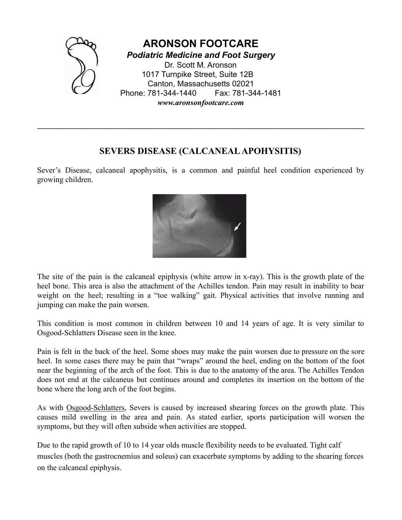

## **SEVERS DISEASE (CALCANEALAPOHYSITIS)**

**\_\_\_\_\_\_\_\_\_\_\_\_\_\_\_\_\_\_\_\_\_\_\_\_\_\_\_\_\_\_\_\_\_\_\_\_\_\_\_\_\_\_\_\_\_\_\_\_\_\_\_\_\_\_\_\_\_\_\_\_\_\_\_\_\_\_\_\_\_\_\_\_\_\_\_\_\_\_\_\_\_\_\_**

Sever's Disease, calcaneal apophysitis, is a common and painful heel condition experienced by growing children.



The site of the pain is the calcaneal epiphysis (white arrow in x-ray). This is the growth plate of the heel bone. This area is also the attachment of the Achilles tendon. Pain may result in inability to bear weight on the heel; resulting in a "toe walking" gait. Physical activities that involve running and jumping can make the pain worsen.

This condition is most common in children between 10 and 14 years of age. It is very similar to Osgood-Schlatters Disease seen in the knee.

Pain is felt in the back of the heel. Some shoes may make the pain worsen due to pressure on the sore heel. In some cases there may be pain that "wraps" around the heel, ending on the bottom of the foot near the beginning of the arch of the foot. This is due to the anatomy of the area. The Achilles Tendon does not end at the calcaneus but continues around and completes its insertion on the bottom of the bone where the long arch of the foot begins.

As with [Osgood-Schlatters,](http://www.athleticadvisor.com/Injuries/LE/Knee/osgood-schlatters.htm) Severs is caused by increased shearing forces on the growth plate. This causes mild swelling in the area and pain. As stated earlier, sports participation will worsen the symptoms, but they will often subside when activities are stopped.

Due to the rapid growth of 10 to 14 year olds muscle flexibility needs to be evaluated. Tight calf muscles (both the gastrocnemius and soleus) can exacerbate symptoms by adding to the shearing forces on the calcaneal epiphysis.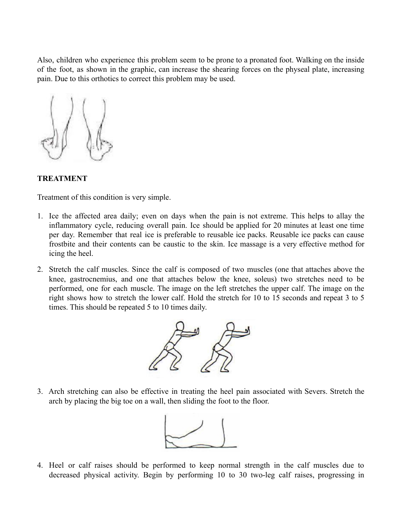Also, children who experience this problem seem to be prone to a pronated foot. Walking on the inside of the foot, as shown in the graphic, can increase the shearing forces on the physeal plate, increasing pain. Due to this orthotics to correct this problem may be used.



## **TREATMENT**

Treatment of this condition is very simple.

- 1. Ice the affected area daily; even on days when the pain is not extreme. This helps to allay the inflammatory cycle, reducing overall pain. Ice should be applied for 20 minutes at least one time per day. Remember that real ice is preferable to reusable ice packs. Reusable ice packs can cause frostbite and their contents can be caustic to the skin. Ice massage is a very effective method for icing the heel.
- 2. Stretch the calf muscles. Since the calf is composed of two muscles (one that attaches above the knee, gastrocnemius, and one that attaches below the knee, soleus) two stretches need to be performed, one for each muscle. The image on the left stretches the upper calf. The image on the right shows how to stretch the lower calf. Hold the stretch for 10 to 15 seconds and repeat 3 to 5 times. This should be repeated 5 to 10 times daily.



3. Arch stretching can also be effective in treating the heel pain associated with Severs. Stretch the arch by placing the big toe on a wall, then sliding the foot to the floor.



4. Heel or calf raises should be performed to keep normal strength in the calf muscles due to decreased physical activity. Begin by performing 10 to 30 two-leg calf raises, progressing in